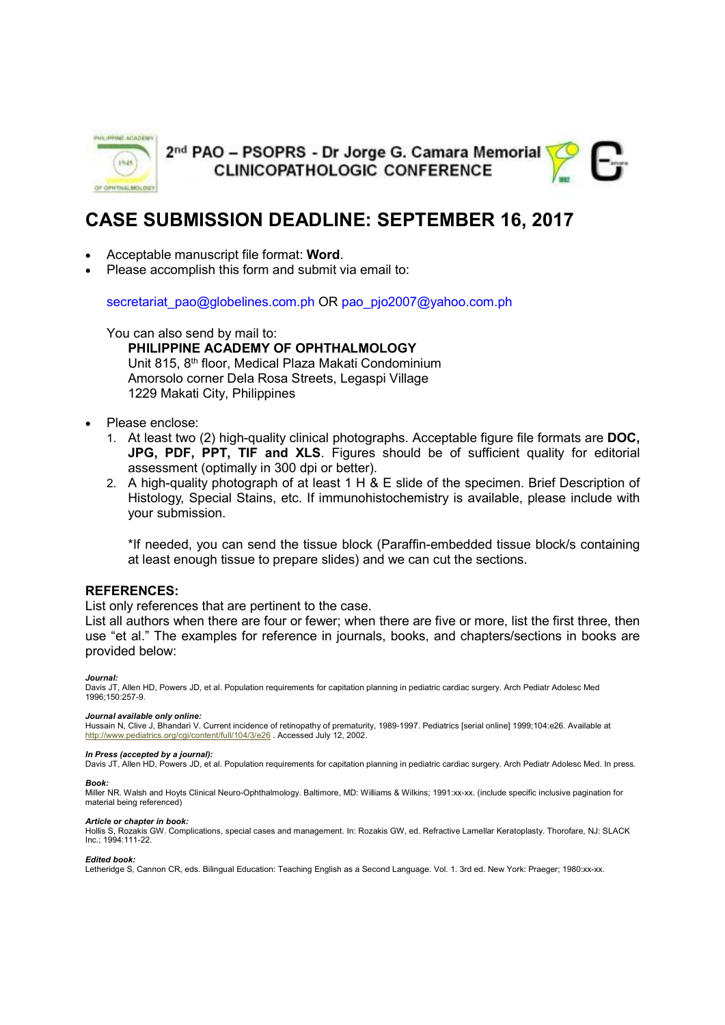

2<sup>nd</sup> PAO - PSOPRS - Dr Jorge G. Camara Memorial **CLINICOPATHOLOGIC CONFERENCE** 



# **CASE SUBMISSION DEADLINE: SEPTEMBER 16, 2017**

- Acceptable manuscript file format: **Word**.
- Please accomplish this form and submit via email to:

secretariat\_pao@globelines.com.ph OR pao\_pjo2007@yahoo.com.ph

You can also send by mail to: **PHILIPPINE ACADEMY OF OPHTHALMOLOGY**  Unit 815, 8th floor, Medical Plaza Makati Condominium Amorsolo corner Dela Rosa Streets, Legaspi Village 1229 Makati City, Philippines

- Please enclose:
	- 1. At least two (2) high-quality clinical photographs. Acceptable figure file formats are **DOC, JPG, PDF, PPT, TIF and XLS**. Figures should be of sufficient quality for editorial assessment (optimally in 300 dpi or better).
	- 2. A high-quality photograph of at least 1 H & E slide of the specimen. Brief Description of Histology, Special Stains, etc. If immunohistochemistry is available, please include with your submission.

\*If needed, you can send the tissue block (Paraffin-embedded tissue block/s containing at least enough tissue to prepare slides) and we can cut the sections.

#### **REFERENCES:**

List only references that are pertinent to the case.

List all authors when there are four or fewer; when there are five or more, list the first three, then use "et al." The examples for reference in journals, books, and chapters/sections in books are provided below:

#### *Journal:*

Davis JT, Allen HD, Powers JD, et al. Population requirements for capitation planning in pediatric cardiac surgery. Arch Pediatr Adolesc Med 1996;150:257-9.

#### *Journal available only online:*

Hussain N, Clive J, Bhandari V. Current incidence of retinopathy of prematurity, 1989-1997. Pediatrics [serial online] 1999;104:e26. Available at http://www.pediatrics.org/cgi/content/full/104/3/e26 . Accessed July 12, 2002.

#### *In Press (accepted by a journal):*

Davis JT, Allen HD, Powers JD, et al. Population requirements for capitation planning in pediatric cardiac surgery. Arch Pediatr Adolesc Med. In press.

#### *Book:*

Miller NR. Walsh and Hoyts Clinical Neuro-Ophthalmology. Baltimore, MD: Williams & Wilkins; 1991:xx-xx. (include specific inclusive pagination for material being referenced)

#### *Article or chapter in book:*

Hollis S, Rozakis GW. Complications, special cases and management. In: Rozakis GW, ed. Refractive Lamellar Keratoplasty. Thorofare, NJ: SLACK Inc.; 1994:111-22.

#### *Edited book:*

Letheridge S, Cannon CR, eds. Bilingual Education: Teaching English as a Second Language. Vol. 1. 3rd ed. New York: Praeger; 1980:xx-xx.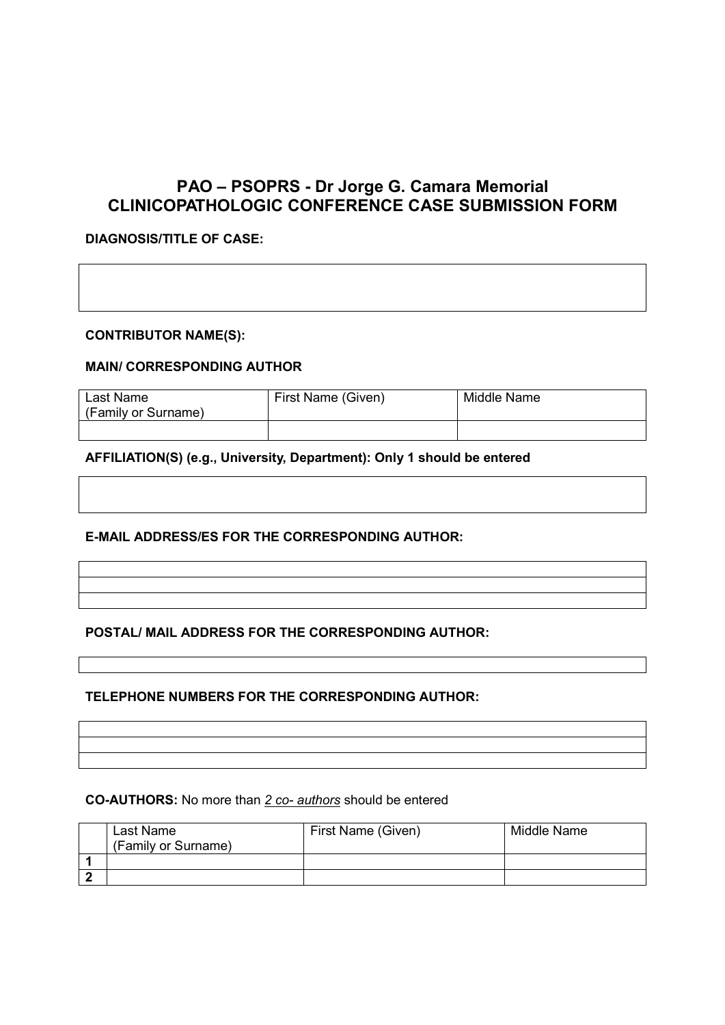# **PAO – PSOPRS - Dr Jorge G. Camara Memorial CLINICOPATHOLOGIC CONFERENCE CASE SUBMISSION FORM**

# **DIAGNOSIS/TITLE OF CASE:**

## **CONTRIBUTOR NAME(S):**

## **MAIN/ CORRESPONDING AUTHOR**

| Last Name<br>(Family or Surname) | First Name (Given) | Middle Name |
|----------------------------------|--------------------|-------------|
|                                  |                    |             |

## **AFFILIATION(S) (e.g., University, Department): Only 1 should be entered**

## **E-MAIL ADDRESS/ES FOR THE CORRESPONDING AUTHOR:**

## **POSTAL/ MAIL ADDRESS FOR THE CORRESPONDING AUTHOR:**

## **TELEPHONE NUMBERS FOR THE CORRESPONDING AUTHOR:**

**CO-AUTHORS:** No more than *2 co- authors* should be entered

| Last Name<br>(Family or Surname) | First Name (Given) | Middle Name |
|----------------------------------|--------------------|-------------|
|                                  |                    |             |
|                                  |                    |             |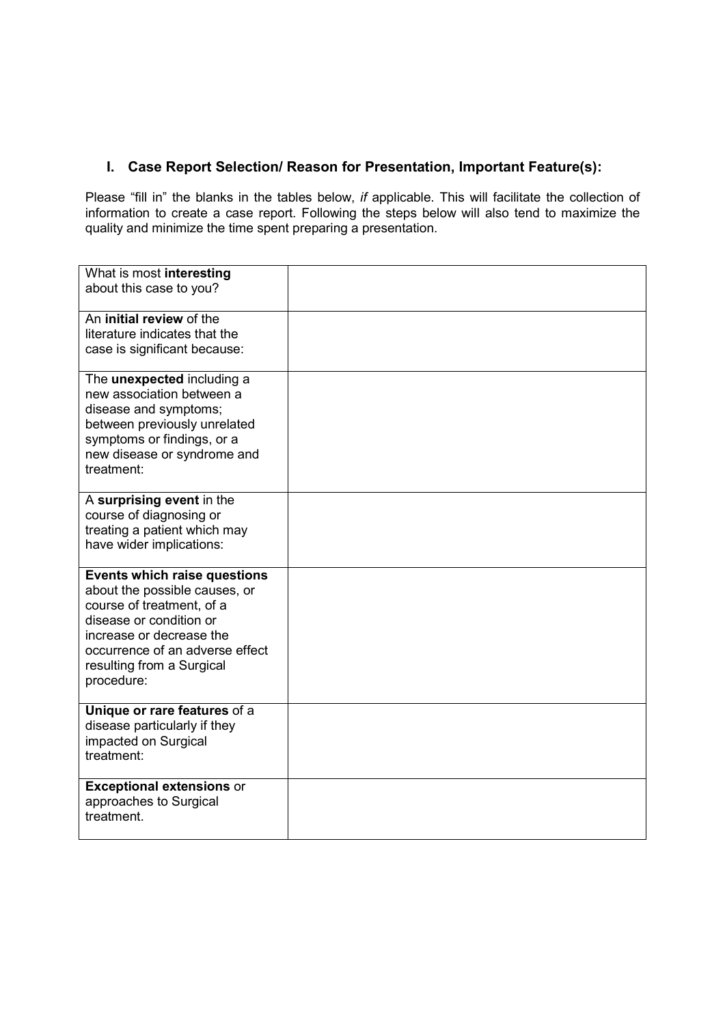# **I. Case Report Selection/ Reason for Presentation, Important Feature(s):**

Please "fill in" the blanks in the tables below, *if* applicable. This will facilitate the collection of information to create a case report. Following the steps below will also tend to maximize the quality and minimize the time spent preparing a presentation.

| What is most interesting<br>about this case to you?                                                                                                                                                                             |  |
|---------------------------------------------------------------------------------------------------------------------------------------------------------------------------------------------------------------------------------|--|
| An initial review of the<br>literature indicates that the<br>case is significant because:                                                                                                                                       |  |
| The <b>unexpected</b> including a<br>new association between a<br>disease and symptoms;<br>between previously unrelated<br>symptoms or findings, or a<br>new disease or syndrome and<br>treatment:                              |  |
| A surprising event in the<br>course of diagnosing or<br>treating a patient which may<br>have wider implications:                                                                                                                |  |
| Events which raise questions<br>about the possible causes, or<br>course of treatment, of a<br>disease or condition or<br>increase or decrease the<br>occurrence of an adverse effect<br>resulting from a Surgical<br>procedure: |  |
| Unique or rare features of a<br>disease particularly if they<br>impacted on Surgical<br>treatment:                                                                                                                              |  |
| <b>Exceptional extensions or</b><br>approaches to Surgical<br>treatment.                                                                                                                                                        |  |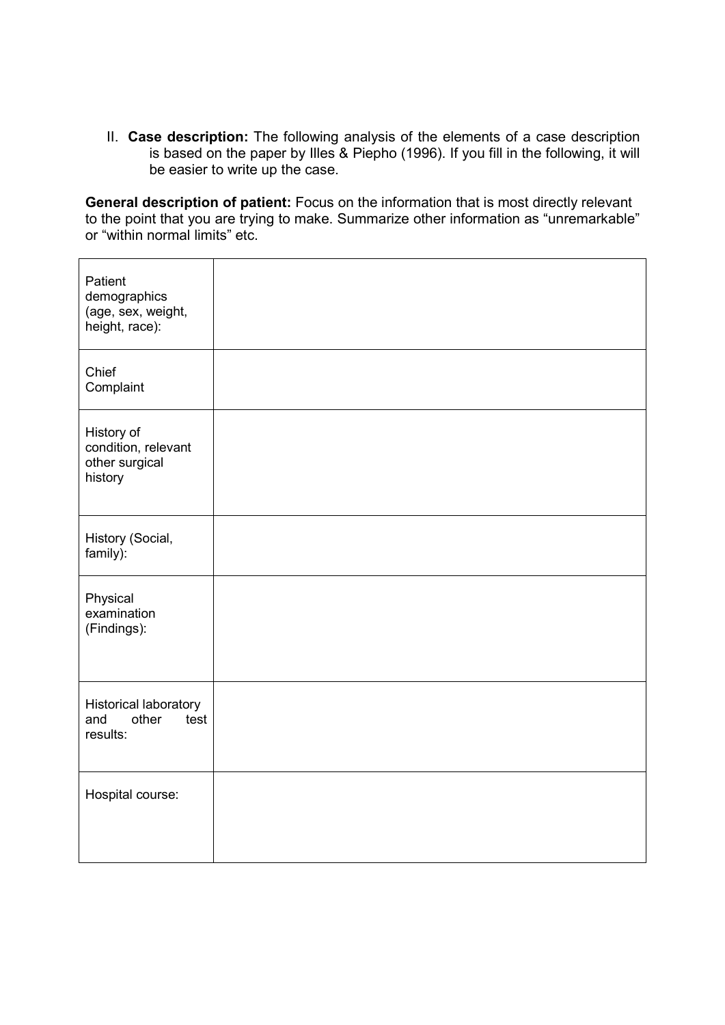II. **Case description:** The following analysis of the elements of a case description is based on the paper by Illes & Piepho (1996). If you fill in the following, it will be easier to write up the case.

**General description of patient:** Focus on the information that is most directly relevant to the point that you are trying to make. Summarize other information as "unremarkable" or "within normal limits" etc.

| Patient<br>demographics<br>(age, sex, weight,<br>height, race):  |  |
|------------------------------------------------------------------|--|
| Chief<br>Complaint                                               |  |
| History of<br>condition, relevant<br>other surgical<br>history   |  |
| History (Social,<br>family):                                     |  |
| Physical<br>examination<br>(Findings):                           |  |
| <b>Historical laboratory</b><br>test<br>and<br>other<br>results: |  |
| Hospital course:                                                 |  |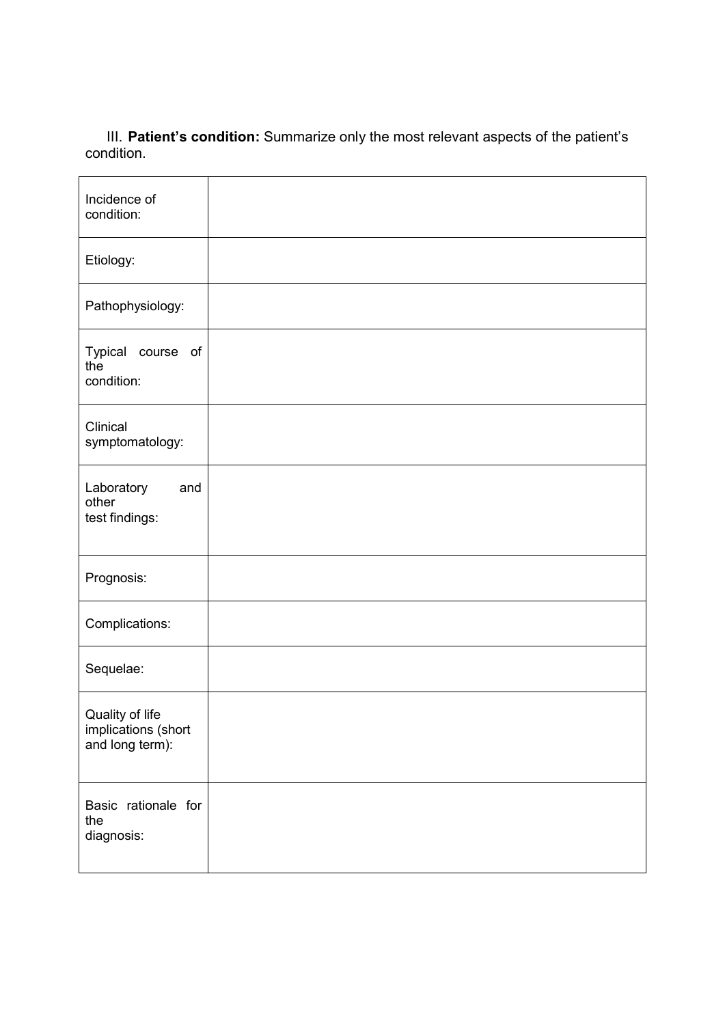III. **Patient's condition:** Summarize only the most relevant aspects of the patient's condition.

| Incidence of<br>condition:                                |  |
|-----------------------------------------------------------|--|
| Etiology:                                                 |  |
| Pathophysiology:                                          |  |
| Typical course of<br>the<br>condition:                    |  |
| Clinical<br>symptomatology:                               |  |
| Laboratory<br>and<br>other<br>test findings:              |  |
| Prognosis:                                                |  |
| Complications:                                            |  |
| Sequelae:                                                 |  |
| Quality of life<br>implications (short<br>and long term): |  |
| Basic rationale for<br>the<br>diagnosis:                  |  |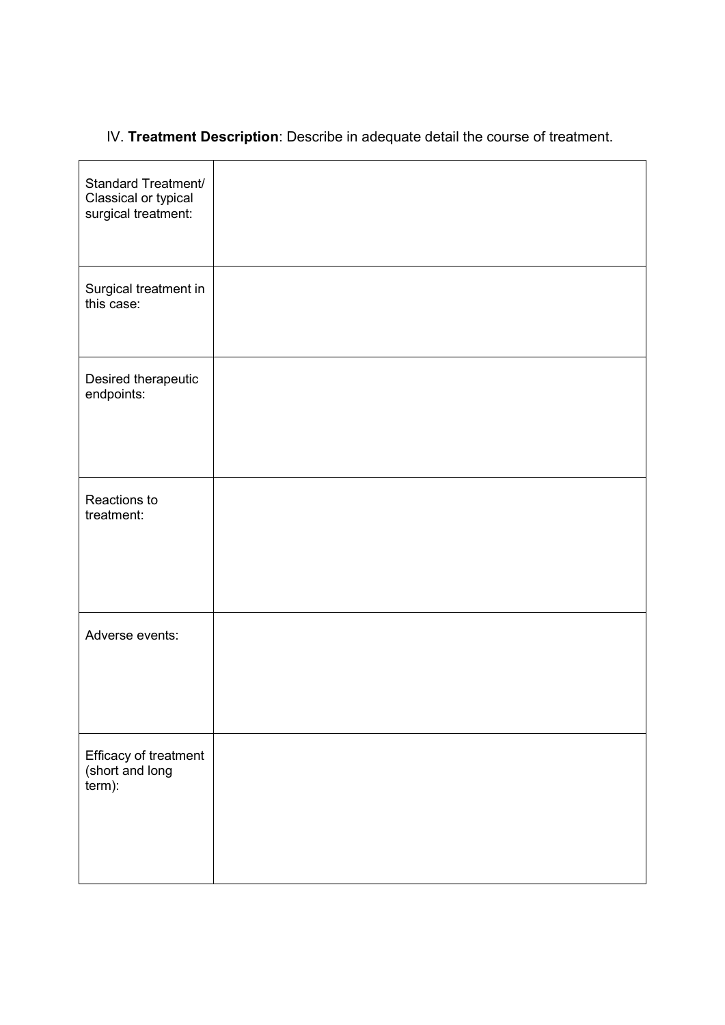# IV. **Treatment Description**: Describe in adequate detail the course of treatment.

| Standard Treatment/<br>Classical or typical<br>surgical treatment: |  |
|--------------------------------------------------------------------|--|
| Surgical treatment in<br>this case:                                |  |
| Desired therapeutic<br>endpoints:                                  |  |
| Reactions to<br>treatment:                                         |  |
| Adverse events:                                                    |  |
| Efficacy of treatment<br>(short and long<br>term):                 |  |